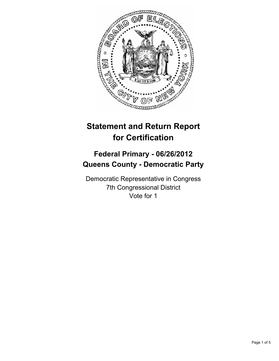

# **Statement and Return Report for Certification**

## **Federal Primary - 06/26/2012 Queens County - Democratic Party**

Democratic Representative in Congress 7th Congressional District Vote for 1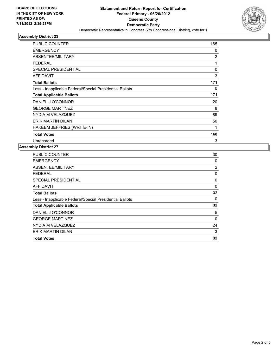

## **Assembly District 23**

| <b>PUBLIC COUNTER</b>                                    | 165            |
|----------------------------------------------------------|----------------|
| <b>EMERGENCY</b>                                         | 0              |
| ABSENTEE/MILITARY                                        | $\overline{2}$ |
| <b>FEDERAL</b>                                           | 1              |
| <b>SPECIAL PRESIDENTIAL</b>                              | 0              |
| <b>AFFIDAVIT</b>                                         | 3              |
| <b>Total Ballots</b>                                     | 171            |
| Less - Inapplicable Federal/Special Presidential Ballots | 0              |
| <b>Total Applicable Ballots</b>                          | 171            |
| DANIEL J O'CONNOR                                        | 20             |
| <b>GEORGE MARTINEZ</b>                                   | 8              |
| NYDIA M VELAZQUEZ                                        | 89             |
| <b>ERIK MARTIN DILAN</b>                                 | 50             |
| HAKEEM JEFFRIES (WRITE-IN)                               | 1              |
| <b>Total Votes</b>                                       | 168            |
| Unrecorded                                               | 3              |

#### **Assembly District 27**

| <b>PUBLIC COUNTER</b>                                    | 30       |
|----------------------------------------------------------|----------|
| <b>EMERGENCY</b>                                         | 0        |
| ABSENTEE/MILITARY                                        | 2        |
| <b>FEDERAL</b>                                           | 0        |
| SPECIAL PRESIDENTIAL                                     | 0        |
| AFFIDAVIT                                                | $\Omega$ |
| <b>Total Ballots</b>                                     | 32       |
| Less - Inapplicable Federal/Special Presidential Ballots | 0        |
| <b>Total Applicable Ballots</b>                          | 32       |
| DANIEL J O'CONNOR                                        | 5        |
| <b>GEORGE MARTINEZ</b>                                   | 0        |
| NYDIA M VELAZQUEZ                                        | 24       |
| <b>ERIK MARTIN DILAN</b>                                 | 3        |
| <b>Total Votes</b>                                       | 32       |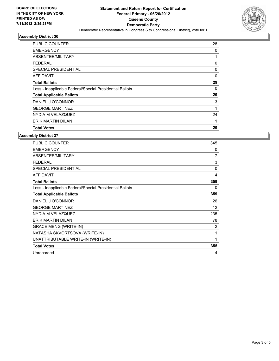

## **Assembly District 30**

| <b>PUBLIC COUNTER</b>                                    | 28 |
|----------------------------------------------------------|----|
| <b>EMERGENCY</b>                                         | 0  |
| ABSENTEE/MILITARY                                        |    |
| FEDERAL                                                  | 0  |
| SPECIAL PRESIDENTIAL                                     | 0  |
| AFFIDAVIT                                                | 0  |
| <b>Total Ballots</b>                                     | 29 |
| Less - Inapplicable Federal/Special Presidential Ballots | 0  |
| <b>Total Applicable Ballots</b>                          | 29 |
| DANIEL J O'CONNOR                                        | 3  |
| <b>GEORGE MARTINEZ</b>                                   | 1  |
| NYDIA M VELAZQUEZ                                        | 24 |
| <b>ERIK MARTIN DILAN</b>                                 | 1  |
| <b>Total Votes</b>                                       | 29 |

**Assembly District 37**

| PUBLIC COUNTER                                           | 345         |
|----------------------------------------------------------|-------------|
| <b>EMERGENCY</b>                                         | 0           |
| ABSENTEE/MILITARY                                        | 7           |
| <b>FEDERAL</b>                                           | 3           |
| <b>SPECIAL PRESIDENTIAL</b>                              | 0           |
| <b>AFFIDAVIT</b>                                         | 4           |
| <b>Total Ballots</b>                                     | 359         |
| Less - Inapplicable Federal/Special Presidential Ballots | $\Omega$    |
| <b>Total Applicable Ballots</b>                          | 359         |
| DANIEL J O'CONNOR                                        | 26          |
| <b>GEORGE MARTINEZ</b>                                   | 12          |
| NYDIA M VELAZQUEZ                                        | 235         |
| <b>ERIK MARTIN DILAN</b>                                 | 78          |
| <b>GRACE MENG (WRITE-IN)</b>                             | 2           |
| NATASHA SKVORTSOVA (WRITE-IN)                            | 1           |
| UNATTRIBUTABLE WRITE-IN (WRITE-IN)                       | $\mathbf 1$ |
| <b>Total Votes</b>                                       | 355         |
| Unrecorded                                               | 4           |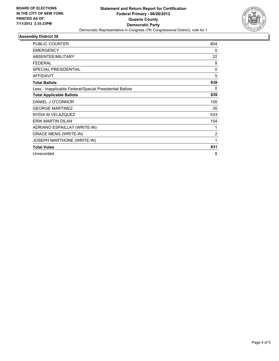

#### **Assembly District 38**

| PUBLIC COUNTER                                           | 804      |
|----------------------------------------------------------|----------|
| <b>EMERGENCY</b>                                         | 0        |
| ABSENTEE/MILITARY                                        | 22       |
| <b>FEDERAL</b>                                           | 8        |
| <b>SPECIAL PRESIDENTIAL</b>                              | $\Omega$ |
| <b>AFFIDAVIT</b>                                         | 5        |
| <b>Total Ballots</b>                                     | 839      |
| Less - Inapplicable Federal/Special Presidential Ballots | 0        |
| <b>Total Applicable Ballots</b>                          | 839      |
| DANIEL J O'CONNOR                                        | 105      |
| <b>GEORGE MARTINEZ</b>                                   | 35       |
| NYDIA M VELAZQUEZ                                        | 533      |
| <b>ERIK MARTIN DILAN</b>                                 | 154      |
| ADRIANO ESPAILLAT (WRITE-IN)                             | 1        |
| <b>GRACE MENG (WRITE-IN)</b>                             | 2        |
| <b>JOSEPH MARTHONE (WRITE-IN)</b>                        | 1        |
| <b>Total Votes</b>                                       | 831      |
| Unrecorded                                               | 8        |